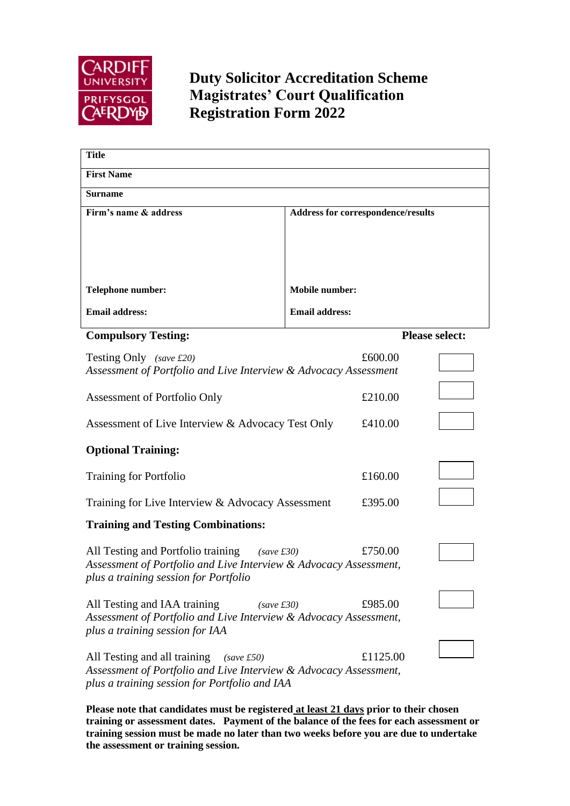

## **Duty Solicitor Accreditation Scheme Magistrates' Court Qualification Registration Form 2022**

| <b>Title</b>                                                                                                    |                                    |                       |  |  |  |  |  |  |
|-----------------------------------------------------------------------------------------------------------------|------------------------------------|-----------------------|--|--|--|--|--|--|
| <b>First Name</b>                                                                                               |                                    |                       |  |  |  |  |  |  |
| <b>Surname</b>                                                                                                  |                                    |                       |  |  |  |  |  |  |
| Firm's name & address                                                                                           | Address for correspondence/results |                       |  |  |  |  |  |  |
|                                                                                                                 |                                    |                       |  |  |  |  |  |  |
|                                                                                                                 |                                    |                       |  |  |  |  |  |  |
|                                                                                                                 |                                    |                       |  |  |  |  |  |  |
| Telephone number:                                                                                               | <b>Mobile number:</b>              |                       |  |  |  |  |  |  |
| <b>Email address:</b>                                                                                           | <b>Email address:</b>              |                       |  |  |  |  |  |  |
| <b>Compulsory Testing:</b>                                                                                      |                                    | <b>Please select:</b> |  |  |  |  |  |  |
| Testing Only (save £20)                                                                                         | £600.00                            |                       |  |  |  |  |  |  |
| Assessment of Portfolio and Live Interview & Advocacy Assessment                                                |                                    |                       |  |  |  |  |  |  |
| Assessment of Portfolio Only                                                                                    | £210.00                            |                       |  |  |  |  |  |  |
| Assessment of Live Interview & Advocacy Test Only                                                               | £410.00                            |                       |  |  |  |  |  |  |
| <b>Optional Training:</b>                                                                                       |                                    |                       |  |  |  |  |  |  |
| <b>Training for Portfolio</b>                                                                                   | £160.00                            |                       |  |  |  |  |  |  |
| Training for Live Interview & Advocacy Assessment                                                               | £395.00                            |                       |  |  |  |  |  |  |
| <b>Training and Testing Combinations:</b>                                                                       |                                    |                       |  |  |  |  |  |  |
| All Testing and Portfolio training<br>(save £30)                                                                | £750.00                            |                       |  |  |  |  |  |  |
| Assessment of Portfolio and Live Interview & Advocacy Assessment,<br>plus a training session for Portfolio      |                                    |                       |  |  |  |  |  |  |
| All Testing and IAA training<br>$(save\ \pounds30)$                                                             | £985.00                            |                       |  |  |  |  |  |  |
| Assessment of Portfolio and Live Interview & Advocacy Assessment,<br>plus a training session for IAA            |                                    |                       |  |  |  |  |  |  |
|                                                                                                                 | £1125.00                           |                       |  |  |  |  |  |  |
| All Testing and all training<br>(save £50)<br>Assessment of Portfolio and Live Interview & Advocacy Assessment, |                                    |                       |  |  |  |  |  |  |
| plus a training session for Portfolio and IAA                                                                   |                                    |                       |  |  |  |  |  |  |

**Please note that candidates must be registered at least 21 days prior to their chosen training or assessment dates. Payment of the balance of the fees for each assessment or training session must be made no later than two weeks before you are due to undertake the assessment or training session.**